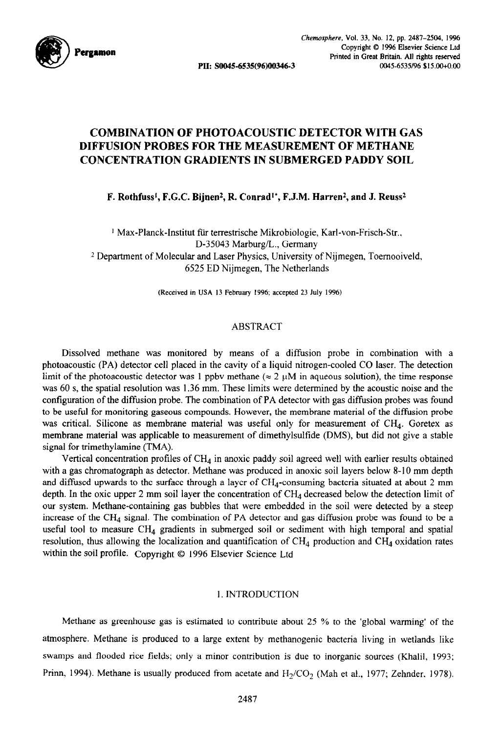

# **COMBINATION OF PHOTOACOUSTIC DETECTOR WITH GAS DIFFUSION PROBES FOR THE MEASUREMENT OF METHANE CONCENTRATION GRADIENTS IN SUBMERGED PADDY SOIL**

**F. Rothfuss', F.G.C. Bijnen\*, R. Conrad\*\*, F.J.M. Harren\*, and J. Reuss\*** 

<sup>1</sup> Max-Planck-Institut für terrestrische Mikrobiologie, Karl-von-Frisch-Str., D-35043 Marburg/L., Germany 2 Department of Molecular and Laser Physics, University of Nijmegen, Toemooiveld, 6525 ED Nijmegen, The Netherlands

(Received in USA 13 February 1996: accepted 23 July 1996)

# ABSTRACT

Dissolved methane was monitored by means of a diffusion probe in combination with a photoacoustic (PA) detector cell placed in the cavity of a liquid nitrogen-cooled CO laser. The detection limit of the photoacoustic detector was 1 ppbv methane ( $\approx 2 \mu M$  in aqueous solution), the time response was 60 s, the spatial resolution was 1.36 mm. These limits were determined by the acoustic noise and the configuration of the diffusion probe. The combination of PA detector with gas diffusion probes was found to be useful for monitoring gaseous compounds. However, the membrane material of the diffusion probe was critical. Silicone as membrane material was useful only for measurement of  $CH<sub>4</sub>$ . Goretex as membrane material was applicable to measurement of dimethylsulfide (DMS), but did not give a stable signal for trimethylamine (TMA).

Vertical concentration profiles of  $CH<sub>4</sub>$  in anoxic paddy soil agreed well with earlier results obtained with a gas chromatograph as detector. Methane was produced in anoxic soil layers below 8-10 mm depth and diffused upwards to the surface through a layer of  $CH<sub>4</sub>$ -consuming bacteria situated at about 2 mm depth. In the oxic upper 2 mm soil layer the concentration of  $CH<sub>4</sub>$  decreased below the detection limit of our system. Methane-containing gas bubbles that were embedded in the soil were detected by a steep increase of the CH<sub>4</sub> signal. The combination of PA detector and gas diffusion probe was found to be a useful tool to measure  $CH_4$  gradients in submerged soil or sediment with high temporal and spatial resolution, thus allowing the localization and quantification of  $CH_4$  production and  $CH_4$  oxidation rates within the soil profile. Copyright © 1996 Elsevier Science Ltd

### 1. INTRODUCTION

Methane as greenhouse gas is estimated to contribute about 25 % to the 'global warming' of the atmosphere. Methane is produced to a large extent by methanogenic bacteria living in wetlands like swamps and flooded rice fields; only a minor contribution is due to inorganic sources (Khalil, 1993; Prinn, 1994). Methane is usually produced from acetate and  $H_2/CO_2$  (Mah et al., 1977; Zehnder, 1978).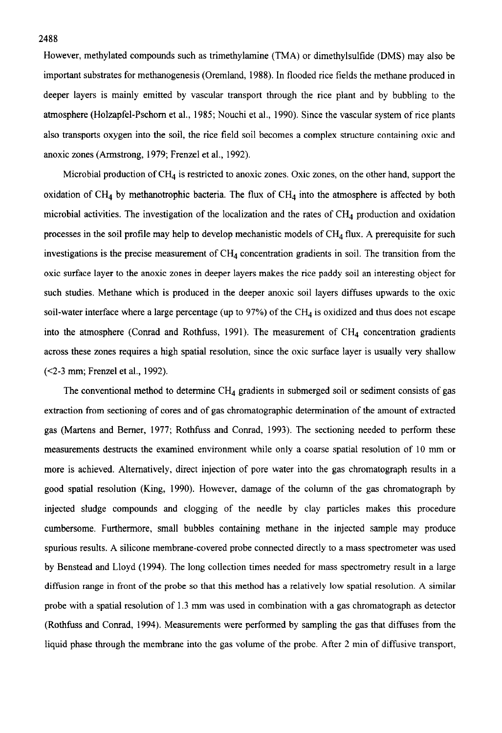However, methylated compounds such as trimethylamine (TMA) or dimethylsulfide (DMS) may also be important substrates for methanogenesis (Oremland, 1988). In flooded rice fields the methane produced in deeper layers is mainly emitted by vascular transport through the rice plant and by bubbling to the atmosphere (Holzapfel-Pschom et al., 1985; Nouchi et al., 1990). Since the vascular system of rice plants also transports oxygen into the soil, the rice field soil becomes a complex structure containing oxic and anoxic zones (Armstrong, 1979; Frenzel et al., 1992).

Microbial production of  $CH<sub>4</sub>$  is restricted to anoxic zones. Oxic zones, on the other hand, support the oxidation of CH<sub>4</sub> by methanotrophic bacteria. The flux of CH<sub>4</sub> into the atmosphere is affected by both microbial activities. The investigation of the localization and the rates of  $CH<sub>4</sub>$  production and oxidation processes in the soil profile may help to develop mechanistic models of  $CH<sub>4</sub>$  flux. A prerequisite for such investigations is the precise measurement of  $CH<sub>4</sub>$  concentration gradients in soil. The transition from the oxic surface layer to the anoxic zones in deeper layers makes the rice paddy soil an interesting object for such studies. Methane which is produced in the deeper anoxic soil layers diffuses upwards to the oxic soil-water interface where a large percentage (up to 97%) of the CH<sub>4</sub> is oxidized and thus does not escape into the atmosphere (Conrad and Rothfuss, 1991). The measurement of  $CH<sub>4</sub>$  concentration gradients across these zones requires a high spatial resolution, since the oxic surface layer is usually very shallow (~2-3 mm; Frenzel et al., 1992).

The conventional method to determine  $CH<sub>4</sub>$  gradients in submerged soil or sediment consists of gas extraction from sectioning of cores and of gas chromatographic determination of the amount of extracted gas (Martens and Bemer, 1977; Rothfuss and Conrad, 1993). The sectioning needed to perform these measurements destructs the examined environment while only a coarse spatial resolution of 10 mm or more is achieved. Alternatively, direct injection of pore water into the gas chromatograph results in a good spatial resolution (King, 1990). However, damage of the column of the gas chromatograph by injected sludge compounds and clogging of the needle by clay particles makes this procedure cumbersome. Furthermore, small bubbles containing methane in the injected sample may produce spurious results. A silicone membrane-covered probe connected directly to a mass spectrometer was used by Benstead and Lloyd (1994). The long collection times needed for mass spectrometry result in a large diffusion range in front of the probe so that this method has a relatively low spatial resolution. A similar probe with a spatial resolution of 1.3 mm was used in combination with a gas chromatograph as detector (Rothfuss and Conrad, 1994). Measurements were performed by sampling the gas that diffuses from the liquid phase through the membrane into the gas volume of the probe. After 2 min of diffusive transport,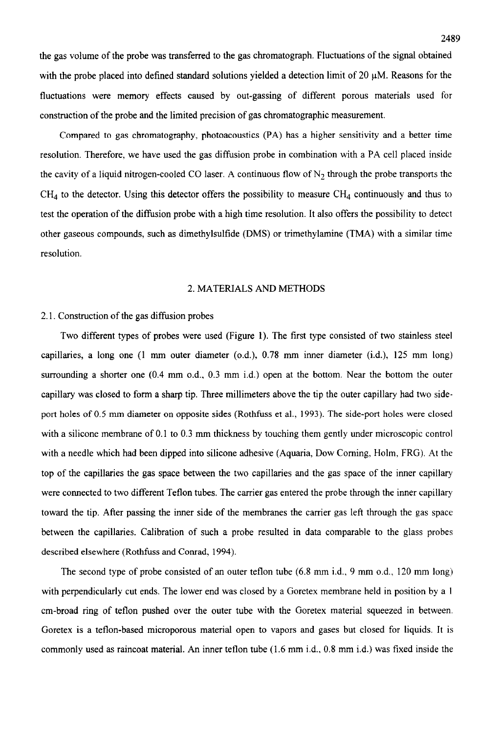the gas volume of the probe was transferred to the gas chromatograph. Fluctuations of the signal obtained with the probe placed into defined standard solutions yielded a detection limit of 20  $\mu$ M. Reasons for the fluctuations were memory effects caused by out-gassing of different porous materials used for construction of the probe and the limited precision of gas chromatographic measurement.

Compared to gas chromatography, photoacoustics (PA) has a higher sensitivity and a better time resolution. Therefore, we have used the gas diffusion probe in combination with a PA cell placed inside the cavity of a liquid nitrogen-cooled CO laser. A continuous flow of  $N_2$  through the probe transports the CH4 to the detector. Using this detector offers the possibility to measure CH4 continuously and thus to test the operation of the diffision probe with a high time resolution. It also offers the possibility to detect other gaseous compounds, such as dimethylsulfide (DMS) or trimethylamine (TMA) with a similar time resolution.

## 2. MATERIALS AND METHODS

# 2.1. Construction of the gas diffusion probes

Two different types of probes were used (Figure 1). The first type consisted of two stainless steel capillaries, a long one (1 mm outer diameter (o.d.), 0.78 mm inner diameter (i.d.), 125 mm long) surrounding a shorter one (0.4 mm o.d., 0.3 mm i.d.) open at the bottom. Near the bottom the outer capillary was closed to form a sharp tip. Three millimeters above the tip the outer capillary had two sideport holes of 0.5 mm diameter on opposite sides (Rothfuss et al., 1993). The side-port holes were closed with a silicone membrane of 0.1 to 0.3 mm thickness by touching them gently under microscopic control with a needle which had been dipped into silicone adhesive (Aquaria, Dow Coming, Holm, FRG). At the top of the capillaries the gas space between the two capillaries and the gas space of the inner capillary were connected to two different Teflon tubes. The carrier gas entered the probe through the inner capillary toward the tip. After passing the inner side of the membranes the carrier gas left through the gas space between the capillaries. Calibration of such a probe resulted in data comparable to the glass probes described elsewhere (Rothfuss and Conrad, 1994).

The second type of probe consisted of an outer teflon tube (6.8 mm i.d., 9 mm o.d., 120 mm long) with perpendicularly cut ends. The lower end was closed by a Goretex membrane held in position by a 1 cm-broad ring of teflon pushed over the outer tube with the Goretex material squeezed in between. Goretex is a teflon-based microporous material open to vapors and gases but closed for liquids. It is commonly used as raincoat material. An inner teflon tube (1.6 mm i.d.. 0.8 mm i.d.) was fixed inside the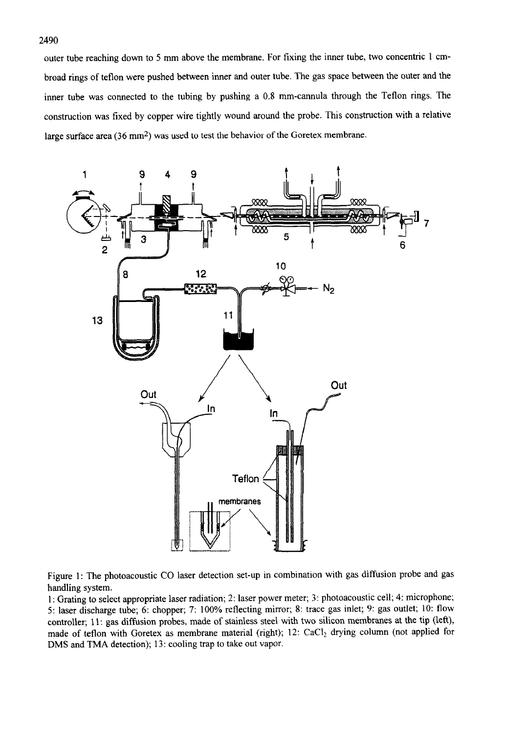2490

outer tube reaching down to 5 mm above the membrane. For fixing the inner tube, two concentric 1 cmbroad rings of teflon were pushed between inner and outer tube. The gas space between the outer and the inner tube was connected to the tubing by pushing a 0.8 mm-cannula through the Teflon rings. The construction was fixed by copper wire tightly wound around the probe. This construction with a relative large surface area (36 mm<sup>2</sup>) was used to test the behavior of the Goretex membrane.



Figure 1: The photoacoustic CO laser detection set-up in combination with gas diffusion probe and gas handling system.

1: Grating to select appropriate laser radiation; 2: laser power meter; 3: photoacoustic cell; 4: microphone; 5: laser discharge tube; 6: chopper; 7: 100% reflecting mirror; 8: trace gas inlet; 9: gas outlet; 10: flow controller; 11: gas diffusion probes, made of stainless steel with two silicon membranes at the tip (left), made of teflon with Goretex as membrane material (right);  $12$ : CaCl<sub>2</sub> drying column (not applied for DMS and TMA detection); 13: cooling trap to take out vapor.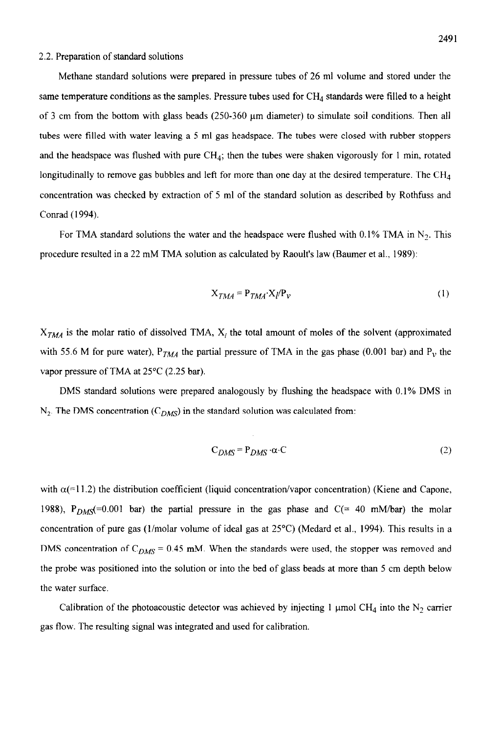### 2.2. Preparation of standard solutions

Methane standard solutions were prepared in pressure tubes of 26 ml volume and stored under the same temperature conditions as the samples. Pressure tubes used for CH<sub>4</sub> standards were filled to a height of 3 cm from the bottom with glass beads (250-360 urn diameter) to simulate soil conditions. Then all tubes were filled with water leaving a 5 ml gas headspace. The tubes were closed with rubber stoppers and the headspace was flushed with pure  $CH<sub>4</sub>$ ; then the tubes were shaken vigorously for 1 min, rotated longitudinally to remove gas bubbles and left for more than one day at the desired temperature. The  $CH<sub>4</sub>$ concentration was checked by extraction of 5 ml of the standard solution as described by Rothfuss and Conrad (1994).

For TMA standard solutions the water and the headspace were flushed with 0.1% TMA in  $N_2$ . This procedure resulted in a 22 mM TMA solution as calculated by Raoult's law (Baumer et al., 1989):

$$
X_{TMA} = P_{TMA} \cdot X_l / P_V \tag{1}
$$

 $X_{TMA}$  is the molar ratio of dissolved TMA,  $X_i$  the total amount of moles of the solvent (approximated with 55.6 M for pure water),  $P_{TMA}$  the partial pressure of TMA in the gas phase (0.001 bar) and  $P_v$  the vapor pressure of TMA at 25°C (2.25 bar).

DMS standard solutions were prepared analogously by flushing the headspace with 0.1% DMS in  $N_2$ . The DMS concentration (C<sub>DMS</sub>) in the standard solution was calculated from:

$$
C_{DMS} = P_{DMS} \cdot \alpha \cdot C \tag{2}
$$

with  $\alpha$ (=11.2) the distribution coefficient (liquid concentration/vapor concentration) (Kiene and Capone, 1988),  $P_{DMS}$ (=0.001 bar) the partial pressure in the gas phase and C(= 40 mM/bar) the molar concentration of pure gas (l/molar volume of ideal gas at 25°C) (Medard et al., 1994). This results in a DMS concentration of  $C_{DMS} = 0.45$  mM. When the standards were used, the stopper was removed and the probe was positioned into the solution or into the bed of glass beads at more than 5 cm depth below the water surface.

Calibration of the photoacoustic detector was achieved by injecting 1 µmol CH<sub>4</sub> into the N<sub>2</sub> carrier gas flow. The resulting signal was integrated and used for calibration.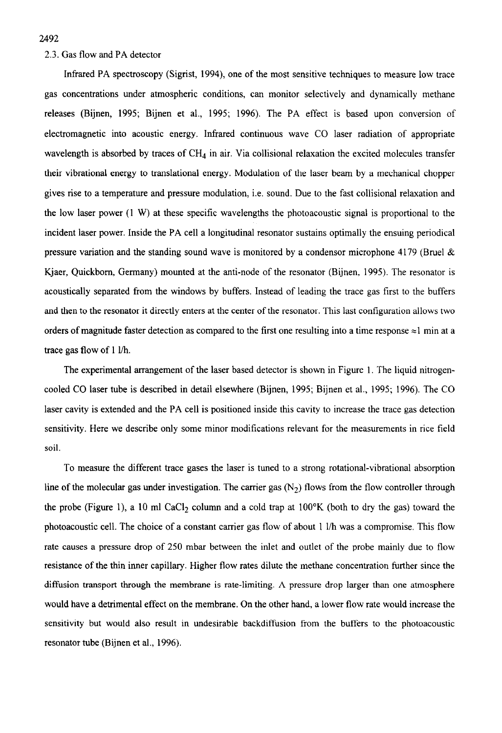# 2.3. Gas flow and PA detector

Infrared PA spectroscopy (Sigrist, 1994), one of the most sensitive techniques to measure low trace gas concentrations under atmospheric conditions, can monitor selectively and dynamically methane releases (Bijnen, 1995; Bijnen et al., 1995; 1996). The PA effect is based upon conversion of electromagnetic into acoustic energy. Infrared continuous wave CO laser radiation of appropriate wavelength is absorbed by traces of  $CH<sub>4</sub>$  in air. Via collisional relaxation the excited molecules transfer their vibrational energy to translational energy. Modulation of the laser beam by a mechanical chopper gives rise to a temperature and pressure modulation, i.e. sound. Due to the fast collisional relaxation and the low laser power (1 W) at these specific wavelengths the photoacoustic signal is proportional to the incident laser power. Inside the PA cell a longitudinal resonator sustains optimally the ensuing periodical pressure variation and the standing sound wave is monitored by a condensor microphone 4179 (Bruel  $\&$ Kjaer, Quickbom, Germany) mounted at the anti-node of the resonator (Bijnen, 1995). The resonator is acoustically separated from the windows by buffers. Instead of leading the trace gas first to the buffers and then to the resonator it directly enters at the center of the resonator. This last configuration allows two orders of magnitude faster detection as compared to the first one resulting into a time response  $\approx$ 1 min at a trace gas flow of 1 l/h.

The experimental arrangement of the laser based detector is shown in Figure 1. The liquid nitrogencooled CO laser tube is described in detail elsewhere (Bijnen, 1995; Bijnen et al., 1995; 1996). The CO laser cavity is extended and the PA cell is positioned inside this cavity to increase the trace gas detection sensitivity. Here we describe only some minor modifications relevant for the measurements in rice field soil.

To measure the different trace gases the laser is tuned to a strong rotational-vibrational absorption line of the molecular gas under investigation. The carrier gas  $(N_2)$  flows from the flow controller through the probe (Figure 1), a 10 ml CaCl<sub>2</sub> column and a cold trap at  $100^\circ$ K (both to dry the gas) toward the photoacoustic cell. The choice of a constant carrier gas flow of about 1 l/h was a compromise. This flow rate causes a pressure drop of 250 mbar between the inlet and outlet of the probe mainly due to flow resistance of the thin inner capillary. Higher flow rates dilute the methane concentration further since the diffusion transport through the membrane is rate-limiting. A pressure drop larger than one atmosphere would have a detrimental effect on the membrane. On the other hand, a lower flow rate would increase the sensitivity but would also result in undesirable backdiffusion from the buffers to the photoacoustic resonator tube (Bijnen et al., 1996).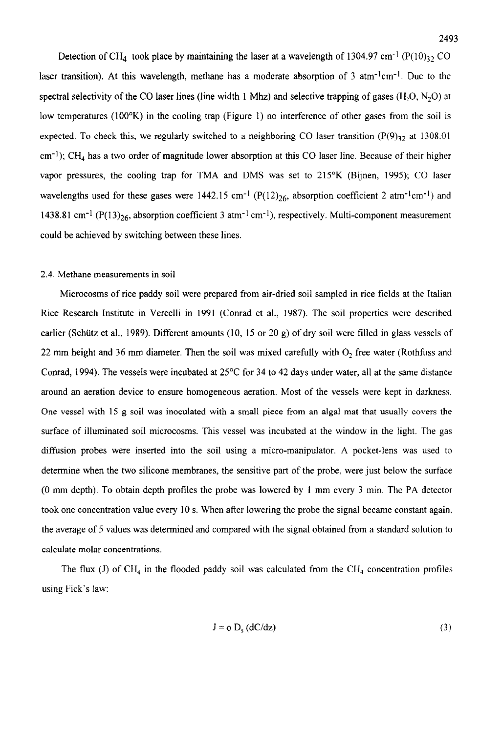Detection of CH<sub>4</sub> took place by maintaining the laser at a wavelength of 1304.97 cm<sup>-1</sup> (P( $10$ )<sub>32</sub> CO laser transition). At this wavelength, methane has a moderate absorption of 3 atm<sup>-1</sup>cm<sup>-1</sup>. Due to the spectral selectivity of the CO laser lines (line width 1 Mhz) and selective trapping of gases  $(H, O, N, O)$  at low temperatures (100°K) in the cooling trap (Figure 1) no interference of other gases from the soil is expected. To check this, we regularly switched to a neighboring CO laser transition  $(P(9)_{32}$  at 1308.01  $cm^{-1}$ ); CH<sub>4</sub> has a two order of magnitude lower absorption at this CO laser line. Because of their higher vapor pressures, the cooling trap for TMA and DMS was set to 215°K (Bijnen, 1995); CO laser wavelengths used for these gases were 1442.15 cm<sup>-1</sup> (P(12)<sub>26</sub>, absorption coefficient 2 atm<sup>-1</sup>cm<sup>-1</sup>) and 1438.81 cm<sup>-1</sup> (P(13)<sub>26</sub>, absorption coefficient 3 atm<sup>-1</sup> cm<sup>-1</sup>), respectively. Multi-component measurement could be achieved by switching between these lines.

#### 2.4. Methane measurements in soil

Microcosms of rice paddy soil were prepared from air-dried soil sampled in rice fields at the Italian Rice Research Institute in Vercelli in 1991 (Conrad et al., 1987). The soil properties were described earlier (Schütz et al., 1989). Different amounts (10, 15 or 20 g) of dry soil were filled in glass vessels of 22 mm height and 36 mm diameter. Then the soil was mixed carefully with  $O<sub>2</sub>$  free water (Rothfuss and Conrad, 1994). The vessels were incubated at 25°C for 34 to 42 days under water, all at the same distance around an aeration device to ensure homogeneous aeration. Most of the vessels were kept in darkness. One vessel with 15 g soil was inoculated with a small piece from an algal mat that usually covers the surface of illuminated soil microcosms. This vessel was incubated at the window in the light. The gas diffusion probes were inserted into the soil using a micro-manipulator. A pocket-lens was used to determine when the two silicone membranes, the sensitive part of the probe, were just below the surface (0 mm depth). To obtain depth profiles the probe was lowered by 1 mm every 3 min. The PA detector took one concentration value every 10 s. When after lowering the probe the signal became constant again. the average of 5 values was determined and compared with the signal obtained from a standard solution to calculate molar concentrations.

The flux  $(J)$  of CH<sub>4</sub> in the flooded paddy soil was calculated from the CH<sub>4</sub> concentration profiles using Fick's law:

$$
J = \phi D_s (dC/dz)
$$
 (3)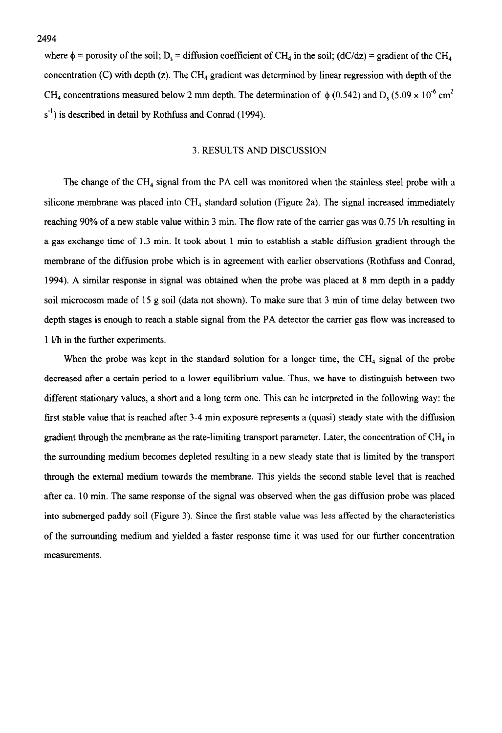where  $\phi$  = porosity of the soil; D<sub>s</sub> = diffusion coefficient of CH<sub>4</sub> in the soil; (dC/dz) = gradient of the CH<sub>4</sub> concentration (C) with depth (z). The CH<sub>4</sub> gradient was determined by linear regression with depth of the CH<sub>4</sub> concentrations measured below 2 mm depth. The determination of  $\phi$  (0.542) and D<sub>s</sub> (5.09 x 10<sup>-6</sup> cm<sup>2</sup>  $s^{-1}$ ) is described in detail by Rothfuss and Conrad (1994).

# 3. RESULTS AND DISCUSSION

The change of the CH, signal from the PA cell was monitored when the stainless steel probe with a silicone membrane was placed into  $CH<sub>4</sub>$  standard solution (Figure 2a). The signal increased immediately reaching 90% of a new stable value within 3 min. The flow rate of the carrier gas was 0.75 l/h resulting in a gas exchange time of 1.3 min. It took about 1 min to establish a stable diffusion gradient through the membrane of the diffusion probe which is in agreement with earlier observations (Rothfuss and Conrad, 1994). A similar response in signal was obtained when the probe was placed at 8 mm depth in a paddy soil microcosm made of 15 g soil (data not shown). To make sure that 3 min of time delay between two depth stages is enough to reach a stable signal from the PA detector the carrier gas flow was increased to 1 l/h in the further experiments.

When the probe was kept in the standard solution for a longer time, the  $CH<sub>4</sub>$  signal of the probe decreased after a certain period to a lower equilibrium value. Thus, we have to distinguish between two different stationary values, a short and a long term one. This can be interpreted in the following way: the first stable value that is reached after 3-4 min exposure represents a (quasi) steady state with the diffusion gradient through the membrane as the rate-limiting transport parameter. Later, the concentration of  $CH<sub>4</sub>$  in the surrounding medium becomes depleted resulting in a new steady state that is limited by the transport through the external medium towards the membrane. This yields the second stable level that is reached after ca. 10 min. The same response of the signal was observed when the gas diffusion probe was placed into submerged paddy soil (Figure 3). Since the first stable value was less affected by the characteristics of the surrounding medium and yielded a faster response time it was used for our further concentration measurements.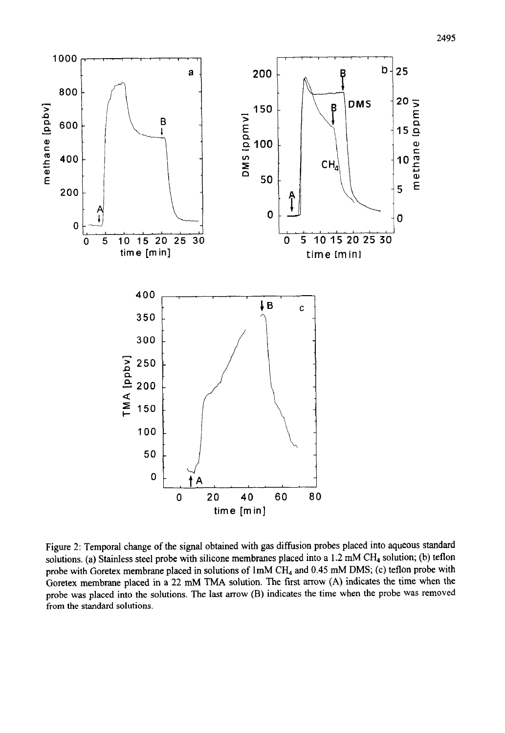

Figure 2: Temporal change of the signal obtained with gas diffusion probes placed into aqueous standard solutions. (a) Stainless steel probe with silicone membranes placed into a 1.2 mM CH<sub>4</sub> solution; (b) teflon probe with Goretex membrane placed in solutions of 1mM CH<sub>4</sub> and 0.45 mM DMS; (c) teflon probe with Goretex membrane placed in a 22 mM TMA solution. The first arrow (A) indicates the time when the probe was placed into the solutions. The last arrow (B) indicates the time when the probe was removed from the standard solutions.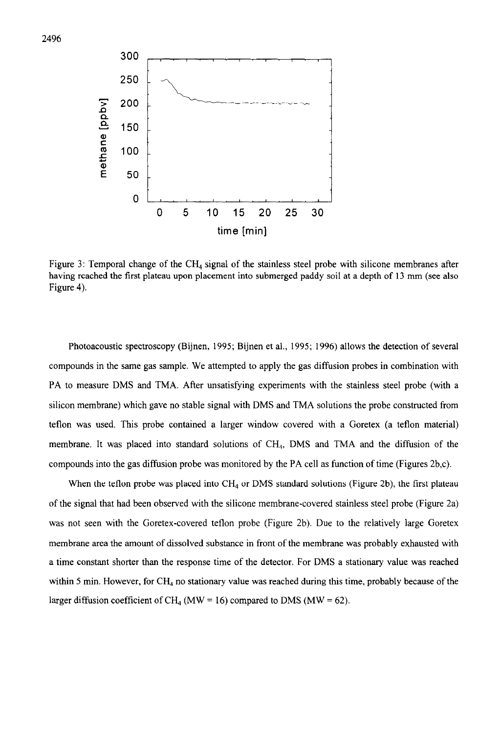

Figure 3: Temporal change of the CH<sub>4</sub> signal of the stainless steel probe with silicone membranes after having reached the first plateau upon placement into submerged paddy soil at a depth of 13 mm (see also Figure 4).

Photoacoustic spectroscopy (Bijnen, 1995; Bijnen et al., 1995; 1996) allows the detection of several compounds in the same gas sample. We attempted to apply the gas diffusion probes in combination with PA to measure DMS and TMA. After unsatisfying experiments with the stainless steel probe (with a silicon membrane) which gave no stable signal with DMS and TMA solutions the probe constructed from teflon was used. This probe contained a larger window covered with a Goretex (a teflon material) membrane. It was placed into standard solutions of CH,,, DMS and TMA and the diffusion of the compounds into the gas diffusion probe was monitored by the PA cell as function of time (Figures 2b,c).

When the teflon probe was placed into CH<sub>4</sub> or DMS standard solutions (Figure 2b), the first plateau of the signal that had been observed with the silicone membrane-covered stainless steel probe (Figure 2a) was not seen with the Goretex-covered teflon probe (Figure 2b). Due to the relatively large Goretex membrane area the amount of dissolved substance in front of the membrane was probably exhausted with a time constant shorter than the response time of the detector. For DMS a stationary value was reached within 5 min. However, for  $CH_4$  no stationary value was reached during this time, probably because of the larger diffusion coefficient of CH<sub>4</sub> (MW = 16) compared to DMS (MW = 62).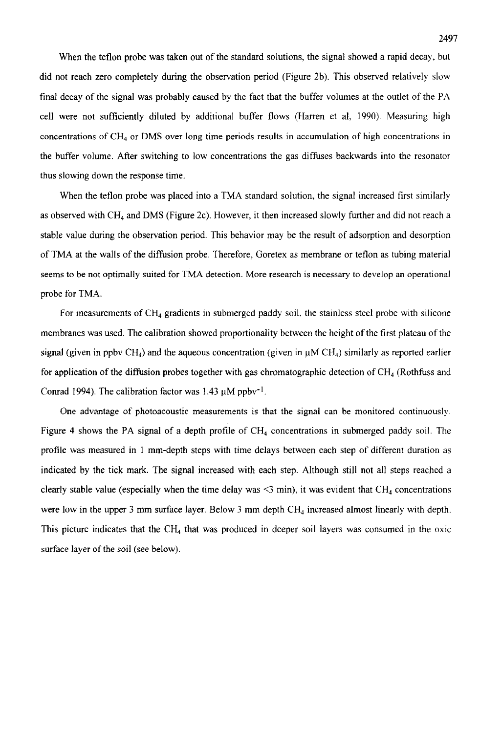When the teflon probe was taken out of the standard solutions, the signal showed a rapid decay, but did not reach zero completely during the observation period (Figure 2b). This observed relatively slow final decay of the signal was probably caused by the fact that the buffer volumes at the outlet of the PA cell were not sufficiently diluted by additional buffer flows (Harren et al. 1990). Measuring high concentrations of CH, or DMS over long time periods results in accumulation of high concentrations in the buffer volume. After switching to low concentrations the gas diffuses backwards into the resonator thus slowing down the response time.

When the teflon probe was placed into a TMA standard solution, the signal increased first similarly as observed with  $CH_4$  and DMS (Figure 2c). However, it then increased slowly further and did not reach a stable value during the observation period. This behavior may be the result of adsorption and desorption of TMA at the walls of the diffusion probe. Therefore, Goretex as membrane or teflon as tubing material seems to be not optimally suited for TMA detection. More research is necessary to develop an operational probe for TMA.

For measurements of CH<sub>4</sub> gradients in submerged paddy soil, the stainless steel probe with silicone membranes was used. The calibration showed proportionality between the height of the first plateau of the signal (given in ppbv CH<sub>4</sub>) and the aqueous concentration (given in  $\mu$ M CH<sub>4</sub>) similarly as reported earlier for application of the diffusion probes together with gas chromatographic detection of  $CH<sub>4</sub>$  (Rothfuss and Conrad 1994). The calibration factor was 1.43  $\mu$ M ppbv<sup>-1</sup>.

One advantage of photoacoustic measurements is that the signal can be monitored continuously. Figure 4 shows the PA signal of a depth profile of CH, concentrations in submerged paddy soil. The profile was measured in 1 mm-depth steps with time delays between each step of different duration as indicated by the tick mark. The signal increased with each step. Although still not all steps reached a clearly stable value (especially when the time delay was  $\leq$ 3 min), it was evident that CH<sub>4</sub> concentrations were low in the upper 3 mm surface layer. Below 3 mm depth  $CH<sub>4</sub>$  increased almost linearly with depth. This picture indicates that the CH4 that was produced in deeper soil layers was consumed in the oxic surface layer of the soil (see below).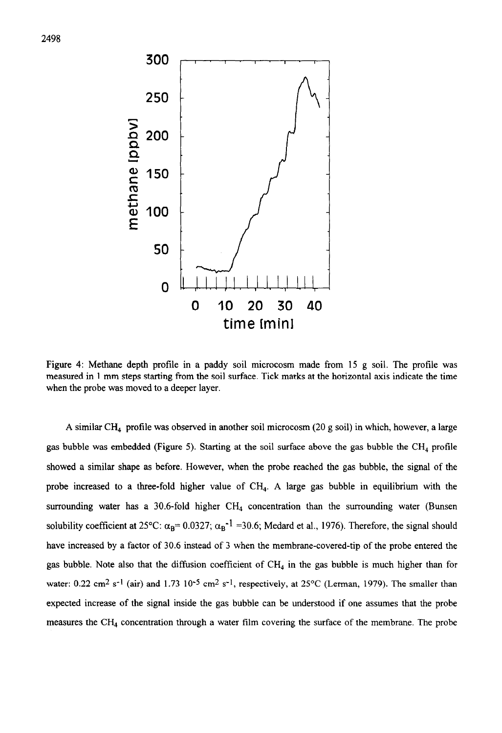

Figure 4: Methane depth profile in a paddy soil microcosm made from 15 g soil. The profile was measured in 1 mm steps starting from the soil surface. Tick marks at the horizontal axis indicate the time when the probe was moved to a deeper layer.

A similar CH4 profile was observed in another soil microcosm (20 g soil) in which, however, a large gas bubble was embedded (Figure 5). Starting at the soil surface above the gas bubble the  $CH_4$  profile showed a similar shape as before. However, when the probe reached the gas bubble, the signal of the probe increased to a three-fold higher value of  $CH<sub>4</sub>$ . A large gas bubble in equilibrium with the surrounding water has a 30.6-fold higher  $CH_4$  concentration than the surrounding water (Bunsen solubility coefficient at 25°C:  $\alpha_B$ = 0.0327;  $\alpha_B$ <sup>-1</sup> = 30.6; Medard et al., 1976). Therefore, the signal should have increased by a factor of 30.6 instead of 3 when the membrane-covered-tip of the probe entered the gas bubble. Note also that the diffusion coefficient of  $CH<sub>4</sub>$  in the gas bubble is much higher than for water: 0.22 cm<sup>2</sup> s<sup>-1</sup> (air) and 1.73 10<sup>-5</sup> cm<sup>2</sup> s<sup>-1</sup>, respectively, at 25°C (Lerman, 1979). The smaller than expected increase of the signal inside the gas bubble can be understood if one assumes that the probe measures the  $CH<sub>4</sub>$  concentration through a water film covering the surface of the membrane. The probe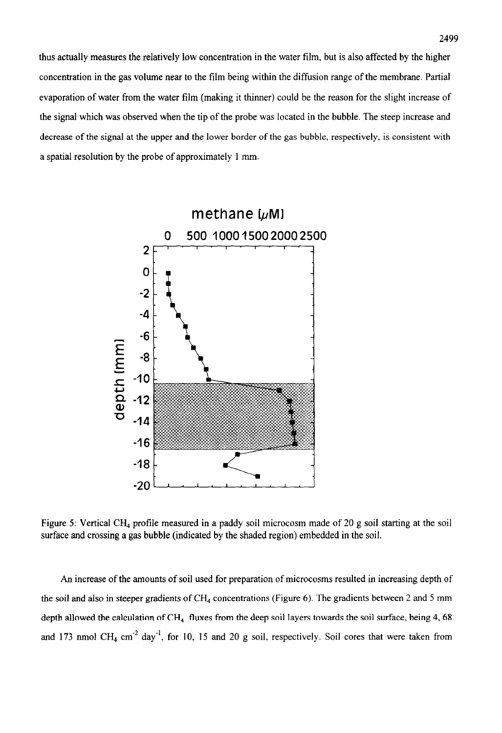thus actually measures the relatively low concentration in the water film, but is also affected by the higher concentration in the gas volume near to the film being within the diffusion range of the membrane. Partial evaporation of water from the water film (making it thinner) could be the reason for the slight increase of the signal which was observed when the tip of the probe was located in the bubble. The steep increase and decrease of the signal at the upper and the lower border of the gas bubble, respectively. is consistent with a spatial resolution by the probe of approximately 1 mm.



Figure 5: Vertical CH<sub>4</sub> profile measured in a paddy soil microcosm made of 20 g soil starting at the soil surface and crossing a gas bubble (indicated by the shaded region) embedded in the soil.

An increase of the amounts of soil used for preparation of microcosms resulted in increasing depth of the soil and also in steeper gradients of  $CH<sub>4</sub>$  concentrations (Figure 6). The gradients between 2 and 5 mm depth allowed the calculation of  $CH<sub>4</sub>$  fluxes from the deep soil layers towards the soil surface, being 4,68 and 173 nmol CH<sub>4</sub> cm<sup>-2</sup> day<sup>-1</sup>, for 10, 15 and 20 g soil, respectively. Soil cores that were taken from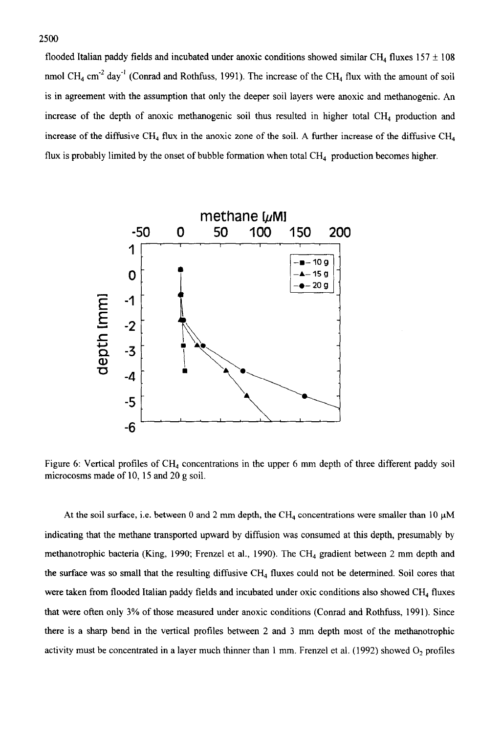flooded Italian paddy fields and incubated under anoxic conditions showed similar CH<sub>4</sub> fluxes 157  $\pm$  108 nmol CH<sub>4</sub> cm<sup>-2</sup> day<sup>-1</sup> (Conrad and Rothfuss, 1991). The increase of the CH<sub>4</sub> flux with the amount of soil is in agreement with the assumption that only the deeper soil layers were anoxic and methanogenic. An increase of the depth of anoxic methanogenic soil thus resulted in higher total  $CH<sub>4</sub>$  production and increase of the diffusive CH<sub>4</sub> flux in the anoxic zone of the soil. A further increase of the diffusive CH<sub>4</sub> flux is probably limited by the onset of bubble formation when total  $CH<sub>4</sub>$  production becomes higher.



Figure 6: Vertical profiles of CH<sub>4</sub> concentrations in the upper 6 mm depth of three different paddy soil microcosms made of 10, 15 and 20 g soil.

At the soil surface, i.e. between 0 and 2 mm depth, the CH<sub>4</sub> concentrations were smaller than 10  $\mu$ M indicating that the methane transported upward by diffusion was consumed at this depth, presumably by methanotrophic bacteria (King, 1990; Frenzel et al., 1990). The CH<sub>4</sub> gradient between 2 mm depth and the surface was so small that the resulting diffusive  $CH<sub>4</sub>$  fluxes could not be determined. Soil cores that were taken from flooded Italian paddy fields and incubated under oxic conditions also showed CH<sub>4</sub> fluxes that were often only 3% of those measured under anoxic conditions (Conrad and Rothfuss, 1991). Since there is a sharp bend in the vertical profiles between 2 and 3 mm depth most of the methanotrophic activity must be concentrated in a layer much thinner than 1 mm. Frenzel et al. (1992) showed 0, profiles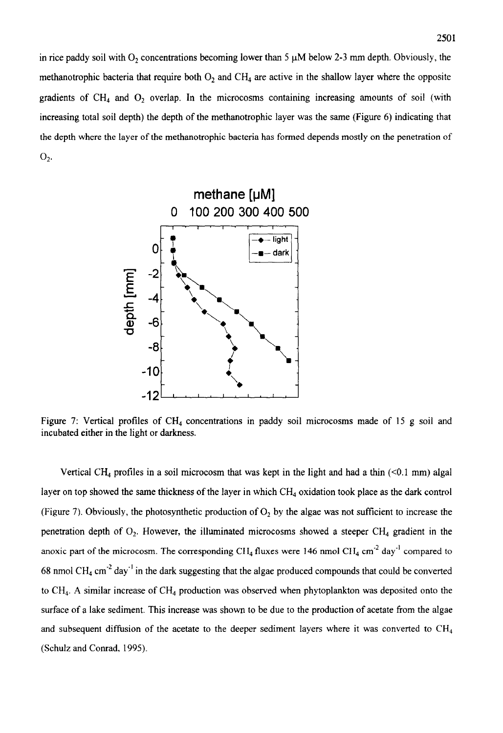in rice paddy soil with  $O_2$  concentrations becoming lower than 5  $\mu$ M below 2-3 mm depth. Obviously, the methanotrophic bacteria that require both  $O_2$  and CH<sub>4</sub> are active in the shallow layer where the opposite gradients of  $CH_4$  and  $O_2$  overlap. In the microcosms containing increasing amounts of soil (with increasing total soil depth) the depth of the methanotrophic layer was the same (Figure 6) indicating that the depth where the layer of the methanotrophic bacteria has formed depends mostly on the penetration of  $O_2$ .



Figure 7: Vertical profiles of  $CH<sub>4</sub>$  concentrations in paddy soil microcosms made of 15 g soil and incubated either in the light or darkness.

Vertical CH<sub>4</sub> profiles in a soil microcosm that was kept in the light and had a thin  $(<0.1 \text{ mm})$  algal layer on top showed the same thickness of the layer in which CH4 oxidation took place as the dark control (Figure 7). Obviously, the photosynthetic production of  $O<sub>2</sub>$  by the algae was not sufficient to increase the penetration depth of  $O_2$ . However, the illuminated microcosms showed a steeper CH<sub>4</sub> gradient in the anoxic part of the microcosm. The corresponding CH<sub>4</sub> fluxes were 146 nmol CH<sub>4</sub> cm<sup>-2</sup> day<sup>-1</sup> compared to 68 nmol CH<sub>4</sub> cm<sup>-2</sup> day<sup>-1</sup> in the dark suggesting that the algae produced compounds that could be converted to CH<sub>4</sub>. A similar increase of CH<sub>4</sub> production was observed when phytoplankton was deposited onto the surface of a lake sediment. This increase was shown to be due to the production of acetate from the algae and subsequent diffusion of the acetate to the deeper sediment layers where it was converted to  $CH<sub>4</sub>$ (Schulz and Conrad. 1995).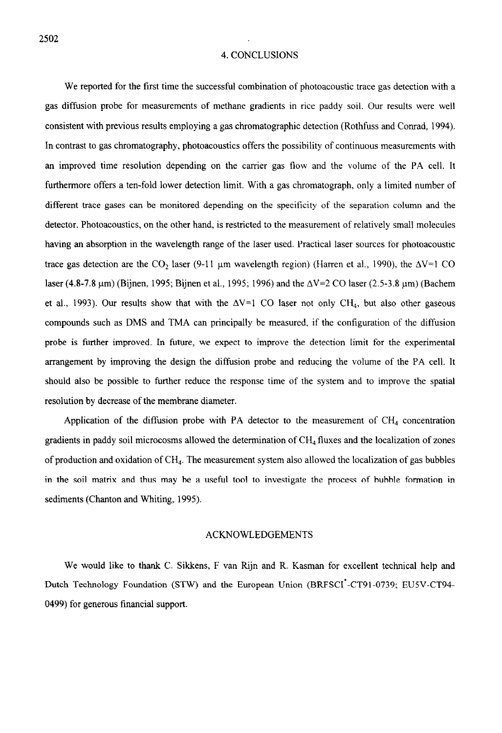#### 4. CONCLUSIONS

We reported for the first time the successful combination of photoacoustic trace gas detection with a gas diffusion probe for measurements of methane gradients in rice paddy soil. Our results were well consistent with previous results employing a gas chromatographic detection (Rothfuss and Conrad, 1994). In contrast to gas chromatography, photoacoustics offers the possibility of continuous measurements with an improved time resolution depending on the carrier gas flow and the volume of the PA cell. It furthermore offers a ten-fold lower detection limit. With a gas chromatograph, only a limited number of different trace gases can be monitored depending on the specificity of the separation column and the detector. Photoacoustics, on the other hand, is restricted to the measurement of relatively small molecules having an absorption in the wavelength range of the laser used. Practical laser sources for photoacoustic trace gas detection are the CO<sub>2</sub> laser (9-11 µm wavelength region) (Harren et al., 1990), the  $\Delta V=1$  CO laser (4.8-7.8  $\mu$ m) (Bijnen, 1995; Bijnen et al., 1995; 1996) and the  $\Delta$ V=2 CO laser (2.5-3.8  $\mu$ m) (Bachem et al., 1993). Our results show that with the  $\Delta V=1$  CO laser not only CH<sub>4</sub>, but also other gaseous compounds such as DMS and TMA can principally be measured, if the configuration of the diffusion probe is further improved. In future, we expect to improve the detection limit for the experimental arrangement by improving the design the diffusion probe and reducing the volume of the PA cell. It should also be possible to further reduce the response time of the system and to improve the spatial resolution by decrease of the membrane diameter.

Application of the diffusion probe with PA detector to the measurement of  $CH<sub>4</sub>$  concentration gradients in paddy soil microcosms allowed the determination of  $CH<sub>4</sub>$  fluxes and the localization of zones of production and oxidation of CH,. The measurement system also allowed the localization of gas bubbles in the soil matrix and thus may be a useful tool to investigate the process of bubble formation in sediments (Chanton and Whiting, 1995).

#### ACKNOWLEDGEMENTS

We would like to thank C. Sikkens, F van Rijn and R. Kasman for excellent technical help and Dutch Technology Foundation (STW) and the European Union (BRFSCI\*-CT91-0739; EUSV-CT94- 0499) for generous financial support.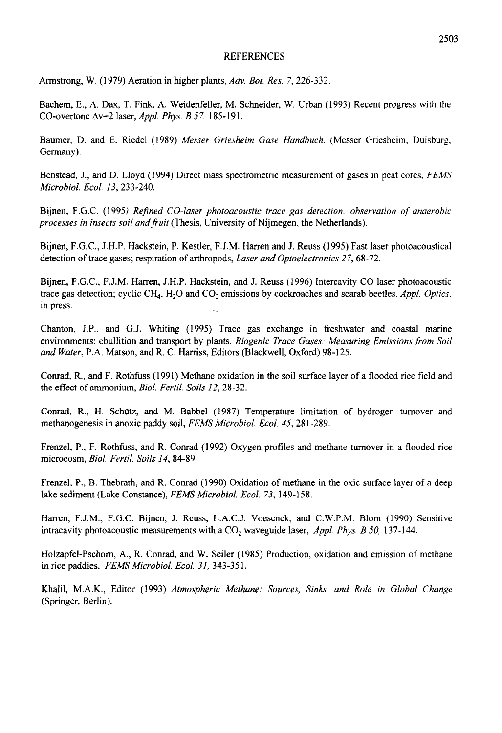## REFERENCES

Armstrong, W. (1979) Aeration in higher plants, *Adv. Bot. Res. 7,226-332* 

Bachem, E., A. Dax, T. Fink, A. Weidenfeller, M. Schneider, W. Urban (1993) Recent progress with the CO-overtone Av=2 laser, *Appl. Phys. B* 57, 185- 19 1.

Baumer, D. and E. Riedel (1989) *Messer Griesheim Guse Handbuch,* (Messer Griesheim, Duisburg, Germany).

Benstead, J., and D. Lloyd (1994) Direct mass spectrometric measurement of gases in peat cores, *FEMS Microbial. Ecol. 13,233-240.* 

Bijnen, F.G.C. (1995) *Refined CO-laser photoacoustic trace gas detection; observation of anaerobic processes in insects soil andfiuit* (Thesis, University of Nijmegen, the Netherlands).

Bijnen, F.G.C., J.H.P. Hackstein, P. Kestler, F.J.M. Harren and J. Reuss (1995) Fast laser photoacoustical detection of trace gases; respiration of arthropods, *Laser and Optoelectronics 27,68-72.* 

Bijnen, F.G.C., F.J.M. Harren, J.H.P. Hackstein, and J. Reuss (1996) Intercavity CO laser photoacoustic trace gas detection; cyclic CH,, H,O and CO\* emissions by cockroaches and scarab beetles, *Appl. Optics.*  in press. .\_

Chanton, J.P., and G.J. Whiting (1995) Trace gas exchange in freshwater and coastal marine environments: ebullition and transport by plants, *Biogenic Trace Gases: Measuring Emissions from Soil and Water,* P.A. Matson, and R. C. Harriss, Editors (Blackwell, Oxford) 98-125.

Conrad, R., and F. Rothfuss (1991) Methane oxidation in the soil surface layer of a flooded rice field and the effect of ammonium, *Biol. Fertil. Soils 12,28-32.* 

Conrad, R., H. Schtitz, and M. Babbel (1987) Temperature limitation of hydrogen turnover and methanogenesis in anoxic paddy soil, *FEMS Microbial. Ecol. 45,28 I-289.* 

Frenzel, P., F. Rothfuss, and R. Conrad (1992) Oxygen profiles and methane turnover in a flooded rice microcosm, *Biol. Fertil. Soils 14,84-89.* 

Frenzel, P., B. Thebrath, and R. Conrad (1990) Oxidation of methane in the oxic surface layer of a deep lake sediment (Lake Constance), *FEMS Microbial. Ecol. 73, 149-l 58.* 

Harren, F.J.M., F.G.C. Bijnen, J. Reuss, L.A.C.J. Voesenek, and C.W.P.M. Blom (1990) Sensitive intracavity photoacoustic measurements with a CO, waveguide laser, *Appl. Phys. B 50, 137- 144.* 

Holzapfel-Pschom, A., R. Conrad, and W. Seiler (1985) Production, oxidation and emission of methane in rice paddies, *FEMS Microbial. Ecol. 31, 343-35* 1.

Khalii, M.A.K., Editor (1993) *Atmospheric Methane: Sources, Sink, and Role in Global Change*  (Springer, Berlin).